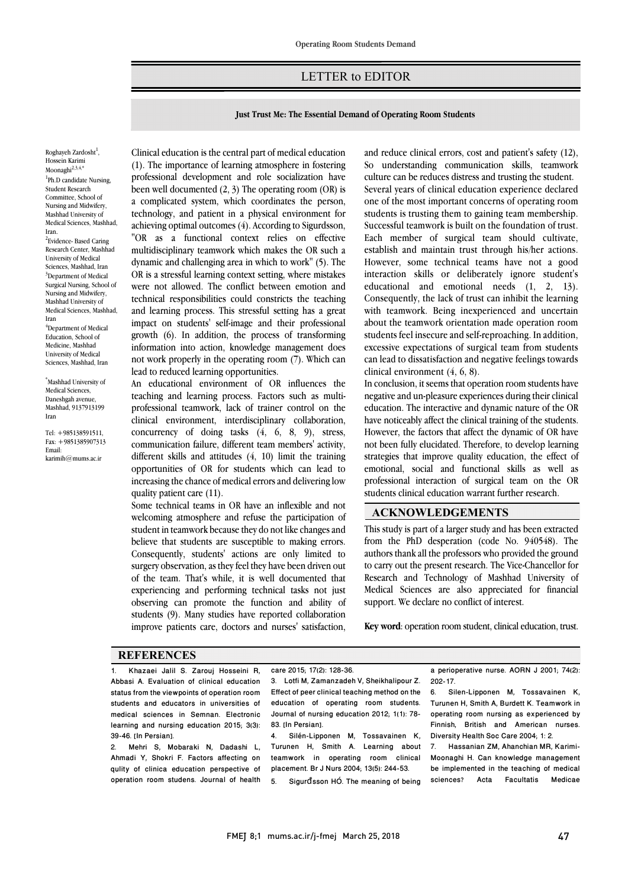## LETTER to EDITOR

Ī 

## **Just Trust Me: The Essential Demand of Operating Room Students**

Roghayeh Zardosht<sup>1</sup>, Hossein Karimi Moonaghi $^{2,3,4,*}$ <sup>1</sup>Ph.D candidate Nursing, Student Research Committee, School of Nursing and Midwifery, Mashhad University of Medical Sciences, Mashhad, Iran. <sup>2</sup>Evidence- Based Caring Research Center, Mashhad University of Medical Sciences, Mashhad, Iran <sup>3</sup>Department of Medical Surgical Nursing, School of Nursing and Midwifery, Mashhad University of Medical Sciences, Mashhad, Iran 4 Department of Medical Education, School of Medicine, Mashhad University of Medical Sciences, Mashhad, Iran

\* Mashhad University of Medical Sciences, Daneshgah avenue, Mashhad, 9137913199 Iran

Tel: +985138591511, Fax: +9851385907313 Email: karimih@mums.ac.ir

 (1). The importance of learning atmosphere in fostering professional development and role socialization have been well documented (2, 3) The operating room (OR) is a complicated system, which coordinates the person, achieving optimal outcomes (4). According to Sigurdsson, "OR as a functional context relies on effective multidisciplinary teamwork which makes the OR such a dynamic and challenging area in which to work" (5). The were not allowed. The conflict between emotion and technical responsibilities could constricts the teaching and learning process. This stressful setting has a great impact on students' self-image and their professional information into action, knowledge management does not work properly in the operating room (7). Which can Clinical education is the central part of medical education technology, and patient in a physical environment for OR is a stressful learning context setting, where mistakes growth (6). In addition, the process of transforming lead to reduced learning opportunities.

An equeational environment of OK inhuences the<br>teaching and learning process. Factors such as multi- professional teamwork, lack of trainer control on the clinical environment, interdisciplinary collaboration, concurrency of doing tasks (4, 6, 8, 9), stress, different skills and attitudes (4, 10) limit the training opportunities of OR for students which can lead to increasing the chance of medical errors and delivering low An educational environment of OR influences the communication failure, different team members' activity, quality patient care (11).

quality patient care (11).<br>Some technical teams in OR have an inflexible and not welcoming atmosphere and refuse the participation of student in teamwork because they do not like changes and believe that students are susceptible to making errors. Consequently, students' actions are only limited to of the team. That's while, it is well documented that experiencing and performing technical tasks not just observing can promote the function and ability of students (9). Many studies have reported collaboration improve patients care, doctors and nurses' satisfaction, surgery observation, as they feel they have been driven out

I

and reduce einida errors, cost and patients safety  $(12)$ , so understanding communication skills, teamwork culture can be reduces distress and trusting the student. Several years of clinical education experience declared one of the most important concerns of operating room Successful teamwork is built on the foundation of trust. Each member of surgical team should cultivate, establish and maintain trust through his/her actions. However, some technical teams have not a good educational and emotional needs (1, 2, 13). Consequently, the lack of trust can inhibit the learning with teamwork. Being inexperienced and uncertain about the teamwork orientation made operation room<br>students feel insecure and self-reproaching. In addition, excessive expectations of surgical team from students can lead to dissatisfaction and negative feelings towards and reduce clinical errors, cost and patient's safety (12), students is trusting them to gaining team membership. interaction skills or deliberately ignore student's about the teamwork orientation made operation room clinical environment (4, 6, 8).

Ī 

 negative and un-pleasure experiences during their clinical education. The interactive and dynamic nature of the OR have noticeably affect the clinical training of the students. However, the factors that affect the dynamic of OR have strategies that improve quality education, the effect of emotional, social and functional skills as well as professional interaction of surgical team on the OR students clinical education warrant further research. In conclusion, it seems that operation room students have not been fully elucidated. Therefore, to develop learning

# **ACKNOWLEDGEMENTS**

 This study is part of a larger study and has been extracted from the PhD desperation (code No. 940548). The authors thank all the professors who provided the ground Research and Technology of Mashhad University of Medical Sciences are also appreciated for financial support. We declare no conflict of interest. to carry out the present research. The Vice-Chancellor for

 $\overline{a}$ **Key word**: operation room student, clinical education, trust.

#### **REFERENCES**

1. Khazaei Jalil S. Zarouj Hosseini R, Abbasi A. Evaluation of clinical education status from the viewpoints of operation room students and educators in universities of medical sciences in Semnan. Electronic learning and nursing education 2015; 3(3): 39-46. [In Persian].

2. Mehri S, Mobaraki N, Dadashi L, Ahmadi Y, Shokri F. Factors affecting on qulity of clinica education perspective of operation room studens. Journal of health

 3. Lotfi M, Zamanzadeh V, Sheikhalipour Z. Effect of peer clinical teaching method on the<br>education of concreting ream students Journal of nursing education 2012; 1(1): 78- 83. [In Persian]. education of operating room students.

 Turunen H, Smith A. Learning about teamwork in operating room clinical placement. Br J Nurs 2004; 13(5): 244-53. 4. Silén-Lipponen M, Tossavainen K,

5. Sigurđsson HÓ. The meaning of being

 a perioperative nurse. AORN J 2001; 74(2): 202-17.

I

 6. Silen-Lipponen M, Tossavainen K, operating room nursing as experienced by Finnish, British and American nurses. Turunen H, Smith A, Burdett K. Teamwork in Diversity Health Soc Care 2004; 1: 2.

 7. Hassanian ZM, Ahanchian MR, Karimi- Moonaghi H. Can knowledge management be implemented in the teaching of medical<br>sciences? Acta Facultatis Medicae be implemented in the teaching of medical<br>sciences? Acta Facultatis Medicae

care 2015; 17(2): 128-36.